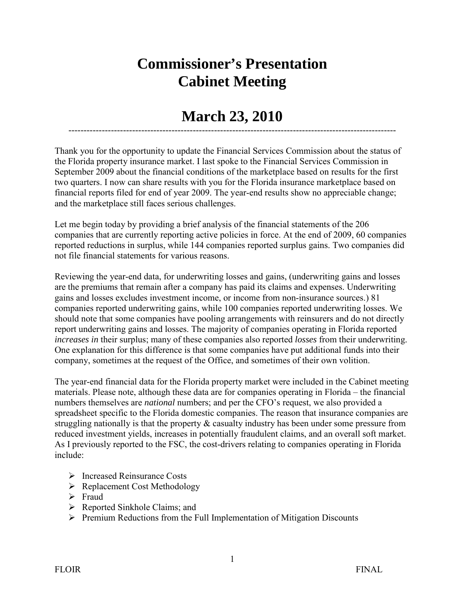## **Commissioner's Presentation Cabinet Meeting**

## **March 23, 2010** ------------------------------------------------------------------------------------------------------------

Thank you for the opportunity to update the Financial Services Commission about the status of the Florida property insurance market. I last spoke to the Financial Services Commission in September 2009 about the financial conditions of the marketplace based on results for the first two quarters. I now can share results with you for the Florida insurance marketplace based on financial reports filed for end of year 2009. The year-end results show no appreciable change; and the marketplace still faces serious challenges.

Let me begin today by providing a brief analysis of the financial statements of the 206 companies that are currently reporting active policies in force. At the end of 2009, 60 companies reported reductions in surplus, while 144 companies reported surplus gains. Two companies did not file financial statements for various reasons.

Reviewing the year-end data, for underwriting losses and gains, (underwriting gains and losses are the premiums that remain after a company has paid its claims and expenses. Underwriting gains and losses excludes investment income, or income from non-insurance sources.) 81 companies reported underwriting gains, while 100 companies reported underwriting losses. We should note that some companies have pooling arrangements with reinsurers and do not directly report underwriting gains and losses. The majority of companies operating in Florida reported *increases in* their surplus; many of these companies also reported *losses* from their underwriting. One explanation for this difference is that some companies have put additional funds into their company, sometimes at the request of the Office, and sometimes of their own volition.

The year-end financial data for the Florida property market were included in the Cabinet meeting materials. Please note, although these data are for companies operating in Florida – the financial numbers themselves are *national* numbers; and per the CFO's request, we also provided a spreadsheet specific to the Florida domestic companies. The reason that insurance companies are struggling nationally is that the property & casualty industry has been under some pressure from reduced investment yields, increases in potentially fraudulent claims, and an overall soft market. As I previously reported to the FSC, the cost-drivers relating to companies operating in Florida include:

- Increased Reinsurance Costs
- $\triangleright$  Replacement Cost Methodology
- $\triangleright$  Fraud
- $\triangleright$  Reported Sinkhole Claims; and
- $\triangleright$  Premium Reductions from the Full Implementation of Mitigation Discounts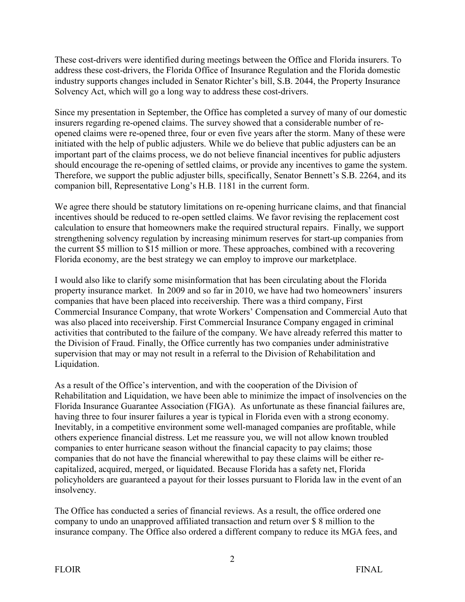These cost-drivers were identified during meetings between the Office and Florida insurers. To address these cost-drivers, the Florida Office of Insurance Regulation and the Florida domestic industry supports changes included in Senator Richter's bill, S.B. 2044, the Property Insurance Solvency Act, which will go a long way to address these cost-drivers.

Since my presentation in September, the Office has completed a survey of many of our domestic insurers regarding re-opened claims. The survey showed that a considerable number of reopened claims were re-opened three, four or even five years after the storm. Many of these were initiated with the help of public adjusters. While we do believe that public adjusters can be an important part of the claims process, we do not believe financial incentives for public adjusters should encourage the re-opening of settled claims, or provide any incentives to game the system. Therefore, we support the public adjuster bills, specifically, Senator Bennett's S.B. 2264, and its companion bill, Representative Long's H.B. 1181 in the current form.

We agree there should be statutory limitations on re-opening hurricane claims, and that financial incentives should be reduced to re-open settled claims. We favor revising the replacement cost calculation to ensure that homeowners make the required structural repairs. Finally, we support strengthening solvency regulation by increasing minimum reserves for start-up companies from the current \$5 million to \$15 million or more. These approaches, combined with a recovering Florida economy, are the best strategy we can employ to improve our marketplace.

I would also like to clarify some misinformation that has been circulating about the Florida property insurance market. In 2009 and so far in 2010, we have had two homeowners' insurers companies that have been placed into receivership*.* There was a third company, First Commercial Insurance Company, that wrote Workers' Compensation and Commercial Auto that was also placed into receivership. First Commercial Insurance Company engaged in criminal activities that contributed to the failure of the company. We have already referred this matter to the Division of Fraud. Finally, the Office currently has two companies under administrative supervision that may or may not result in a referral to the Division of Rehabilitation and Liquidation.

As a result of the Office's intervention, and with the cooperation of the Division of Rehabilitation and Liquidation, we have been able to minimize the impact of insolvencies on the Florida Insurance Guarantee Association (FIGA). As unfortunate as these financial failures are, having three to four insurer failures a year is typical in Florida even with a strong economy. Inevitably, in a competitive environment some well-managed companies are profitable, while others experience financial distress. Let me reassure you, we will not allow known troubled companies to enter hurricane season without the financial capacity to pay claims; those companies that do not have the financial wherewithal to pay these claims will be either recapitalized, acquired, merged, or liquidated. Because Florida has a safety net, Florida policyholders are guaranteed a payout for their losses pursuant to Florida law in the event of an insolvency.

The Office has conducted a series of financial reviews. As a result, the office ordered one company to undo an unapproved affiliated transaction and return over \$ 8 million to the insurance company. The Office also ordered a different company to reduce its MGA fees, and